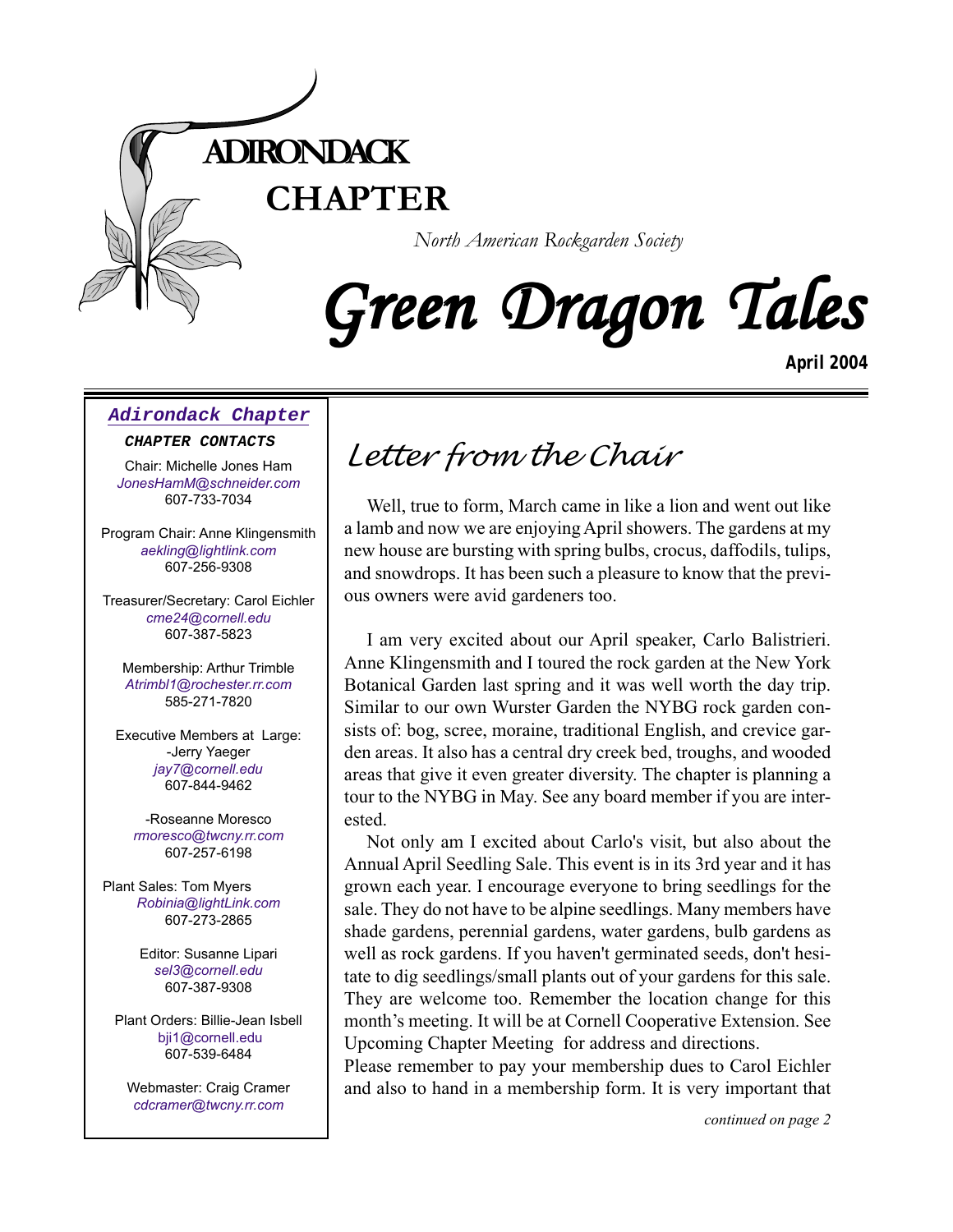

*North American Rockgarden Society*

# Green Dragon Tales

*April 2004*

#### **[Adirondack Chapter](http://www.acnargs.org/ )**

#### **CHAPTER CONTACTS**

Chair: Michelle Jones Ham *[JonesHamM@schneider.com](Mailto:JonesHamM@schneider.com)* 607-733-7034

Program Chair: Anne Klingensmith *[aekling@lightlink.com](mailto:aekling@lightlink.com)* 607-256-9308

Treasurer/Secretary: Carol Eichler *[cme24@cornell.edu](mailto:cme24@cornell.ed)* 607-387-5823

Membership: Arthur Trimble *[Atrimbl1@rochester.rr.com](mailto:Atrimbl1@rochester.rr.com)* 585-271-7820

Executive Members at Large: -Jerry Yaeger *[jay7@cornell.edu](mailto:jay7@cornell.edu)* 607-844-9462

-Roseanne Moresco *[rmoresco@twcny.rr.com](mailto:rmoresco@twcny.rr.com)* 607-257-6198

Plant Sales: Tom Myers *[Robinia@lightLink.com](mailto:Robinia@lightLink.com)* 607-273-2865

> Editor: Susanne Lipari *[sel3@cornell.edu](mailto:sel3@cornell.edu)* 607-387-9308

Plant Orders: Billie-Jean Isbell [bji1@cornell.edu](mailto: bji1@cornell.edu|) 607-539-6484

Webmaster: Craig Cramer *[cdcramer@twcny.rr.com](mailto:cdcramer@twcny.rr.com)*

# *Letter from the Chair*

Well, true to form, March came in like a lion and went out like a lamb and now we are enjoying April showers. The gardens at my new house are bursting with spring bulbs, crocus, daffodils, tulips, and snowdrops. It has been such a pleasure to know that the previous owners were avid gardeners too.

I am very excited about our April speaker, Carlo Balistrieri. Anne Klingensmith and I toured the rock garden at the New York Botanical Garden last spring and it was well worth the day trip. Similar to our own Wurster Garden the NYBG rock garden consists of: bog, scree, moraine, traditional English, and crevice garden areas. It also has a central dry creek bed, troughs, and wooded areas that give it even greater diversity. The chapter is planning a tour to the NYBG in May. See any board member if you are interested.

Not only am I excited about Carlo's visit, but also about the Annual April Seedling Sale. This event is in its 3rd year and it has grown each year. I encourage everyone to bring seedlings for the sale. They do not have to be alpine seedlings. Many members have shade gardens, perennial gardens, water gardens, bulb gardens as well as rock gardens. If you haven't germinated seeds, don't hesitate to dig seedlings/small plants out of your gardens for this sale. They are welcome too. Remember the location change for this month's meeting. It will be at Cornell Cooperative Extension. See Upcoming Chapter Meeting for address and directions.

and also to hand in a membership form. It is very important that Please remember to pay your membership dues to Carol Eichler

*continued on page 2*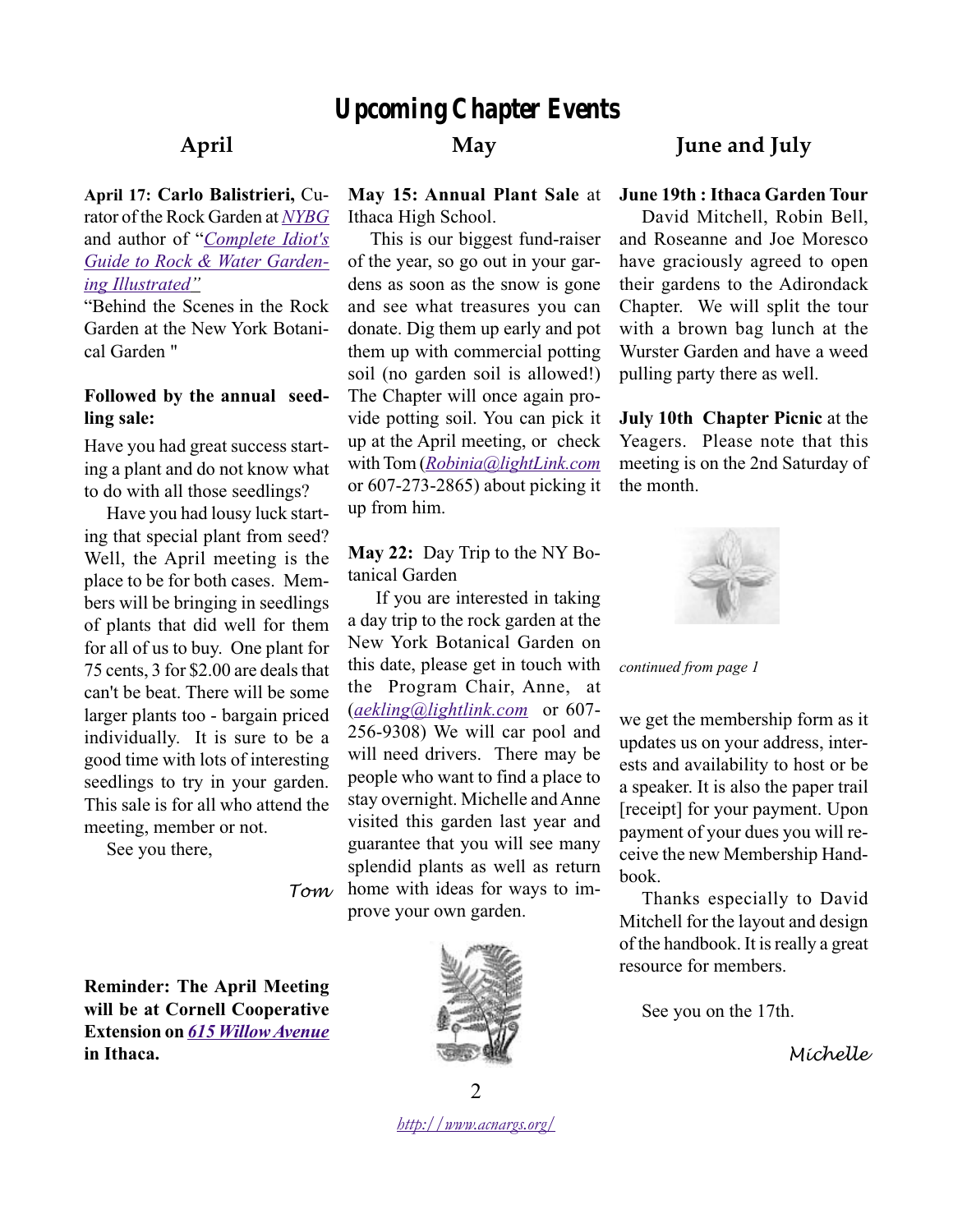# *Upcoming Chapter Events*

#### **April**

**April 17: Carlo Balistrieri,** Curator of the Rock Garden at *[NYBG](www.nybg.org/)* and author of "*[Complete Idiot's](http://www.powells.com/cgi-bin/biblio?inkey=62-159257159x-0) [Guide to Rock & Water Garden](http://www.powells.com/cgi-bin/biblio?inkey=62-159257159x-0)[ing Illustrated"](http://www.powells.com/cgi-bin/biblio?inkey=62-159257159x-0)*

"Behind the Scenes in the Rock Garden at the New York Botanical Garden "

#### **Followed by the annual seedling sale:**

Have you had great success starting a plant and do not know what to do with all those seedlings?

Have you had lousy luck starting that special plant from seed? Well, the April meeting is the place to be for both cases. Members will be bringing in seedlings of plants that did well for them for all of us to buy. One plant for 75 cents, 3 for \$2.00 are deals that can't be beat. There will be some larger plants too - bargain priced individually. It is sure to be a good time with lots of interesting seedlings to try in your garden. This sale is for all who attend the meeting, member or not.

See you there,

**May**

**May 15: Annual Plant Sale** at Ithaca High School.

This is our biggest fund-raiser of the year, so go out in your gardens as soon as the snow is gone and see what treasures you can donate. Dig them up early and pot them up with commercial potting soil (no garden soil is allowed!) The Chapter will once again provide potting soil. You can pick it up at the April meeting, or check with Tom (*[Robinia@lightLink.com](mailto:Robinia@lightLink.com)* or 607-273-2865) about picking it up from him.

#### **May 22:** Day Trip to the NY Botanical Garden

*Tom* home with ideas for ways to im- If you are interested in taking a day trip to the rock garden at the New York Botanical Garden on this date, please get in touch with the Program Chair, Anne, at (*[aekling@lightlink.com](mailto:aekling@lightlink.com)* or 607- 256-9308) We will car pool and will need drivers. There may be people who want to find a place to stay overnight. Michelle and Anne visited this garden last year and guarantee that you will see many splendid plants as well as return prove your own garden.

**Reminder: The April Meeting will be at Cornell Cooperative Extension on** *615 [Willow Avenue](http://mappoint.msn.com/(cj5v35fjd0ut1345cvuayp55)/map.aspx?L=USA&C=42.45062%2c-76.50390&A=7.16667&P=|42.45062%2c-76.50390|1|615+Willow+Ave%2c+Ithaca%2c+NY+14850|L1|)* **in Ithaca.**



### **June and July**

#### **June 19th : Ithaca Garden Tour**

David Mitchell, Robin Bell, and Roseanne and Joe Moresco have graciously agreed to open their gardens to the Adirondack Chapter. We will split the tour with a brown bag lunch at the Wurster Garden and have a weed pulling party there as well.

**July 10th Chapter Picnic** at the Yeagers. Please note that this meeting is on the 2nd Saturday of the month.



*continued from page 1*

we get the membership form as it updates us on your address, interests and availability to host or be a speaker. It is also the paper trail [receipt] for your payment. Upon payment of your dues you will receive the new Membership Handbook.

Thanks especially to David Mitchell for the layout and design of the handbook. It is really a great resource for members.

See you on the 17th.

*Michelle*

 $\mathcal{L}$ *[http://www.acnargs.org/](http://www.acnargs.org/ )*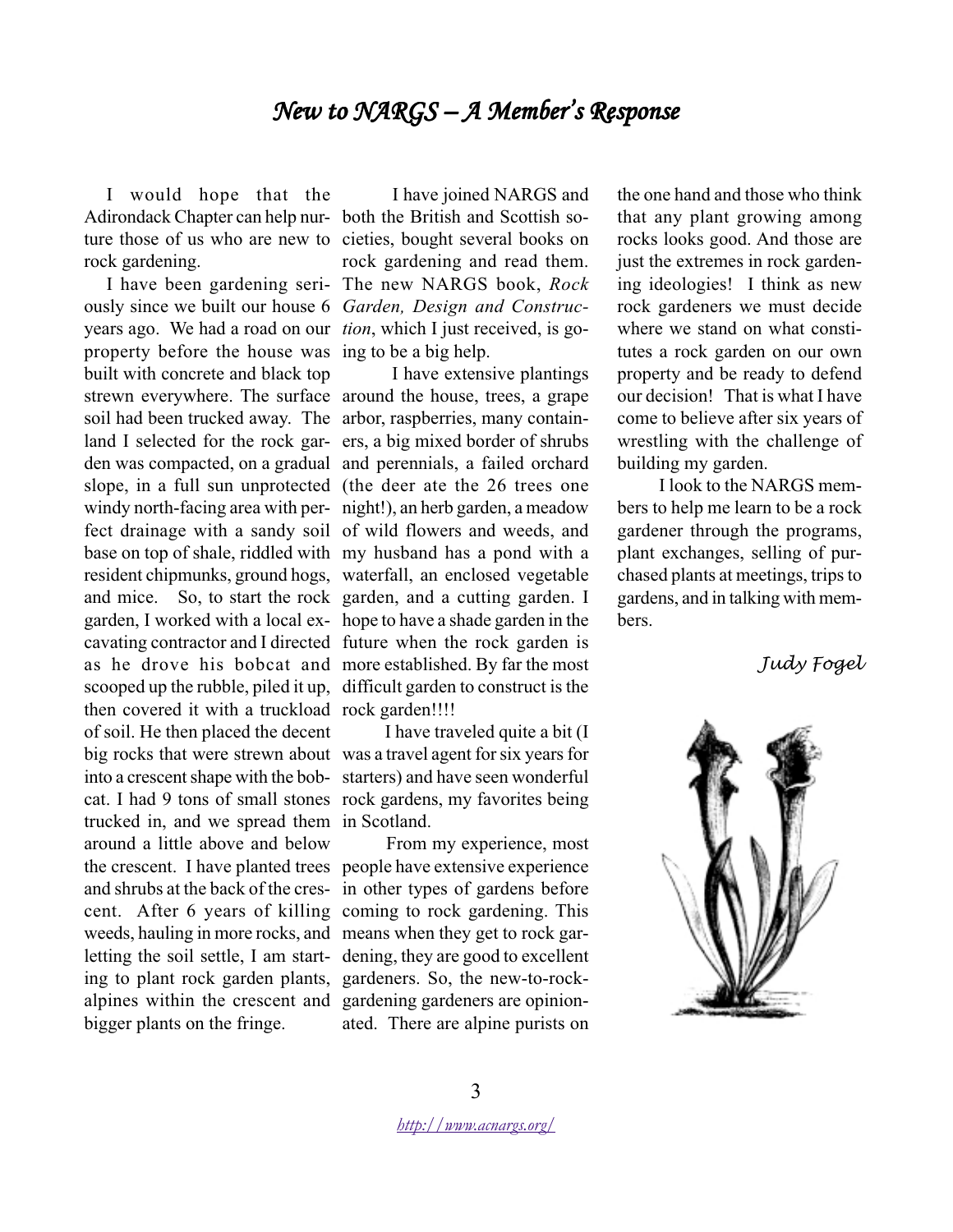## New to  $NARGS - A$  Member's Response

I would hope that the Adirondack Chapter can help nur-both the British and Scottish soture those of us who are new to cieties, bought several books on rock gardening.

ously since we built our house 6 *Garden, Design and Construc*years ago. We had a road on our *tion*, which I just received, is goproperty before the house was ing to be a big help. built with concrete and black top strewn everywhere. The surface around the house, trees, a grape soil had been trucked away. The arbor, raspberries, many containland I selected for the rock gar-ers, a big mixed border of shrubs den was compacted, on a gradual and perennials, a failed orchard slope, in a full sun unprotected (the deer ate the 26 trees one windy north-facing area with per-night!), an herb garden, a meadow fect drainage with a sandy soil of wild flowers and weeds, and base on top of shale, riddled with my husband has a pond with a resident chipmunks, ground hogs, waterfall, an enclosed vegetable and mice. So, to start the rock garden, and a cutting garden. I garden, I worked with a local ex-hope to have a shade garden in the cavating contractor and I directed future when the rock garden is as he drove his bobcat and more established. By far the most scooped up the rubble, piled it up, difficult garden to construct is the then covered it with a truckload rock garden!!!! of soil. He then placed the decent big rocks that were strewn about was a travel agent for six years for into a crescent shape with the bob-starters) and have seen wonderful cat. I had 9 tons of small stones rock gardens, my favorites being trucked in, and we spread them in Scotland. around a little above and below the crescent. I have planted trees people have extensive experience and shrubs at the back of the cres-in other types of gardens before cent. After 6 years of killing coming to rock gardening. This weeds, hauling in more rocks, and means when they get to rock garletting the soil settle, I am start-dening, they are good to excellent ing to plant rock garden plants, gardeners. So, the new-to-rockalpines within the crescent and gardening gardeners are opinionbigger plants on the fringe.

I have been gardening seri-The new NARGS book, *Rock* I have joined NARGS and rock gardening and read them.

I have extensive plantings

I have traveled quite a bit (I

 From my experience, most ated. There are alpine purists on

the one hand and those who think that any plant growing among rocks looks good. And those are just the extremes in rock gardening ideologies! I think as new rock gardeners we must decide where we stand on what constitutes a rock garden on our own property and be ready to defend our decision! That is what I have come to believe after six years of wrestling with the challenge of building my garden.

 I look to the NARGS members to help me learn to be a rock gardener through the programs, plant exchanges, selling of purchased plants at meetings, trips to gardens, and in talking with members.

*Judy Fogel*

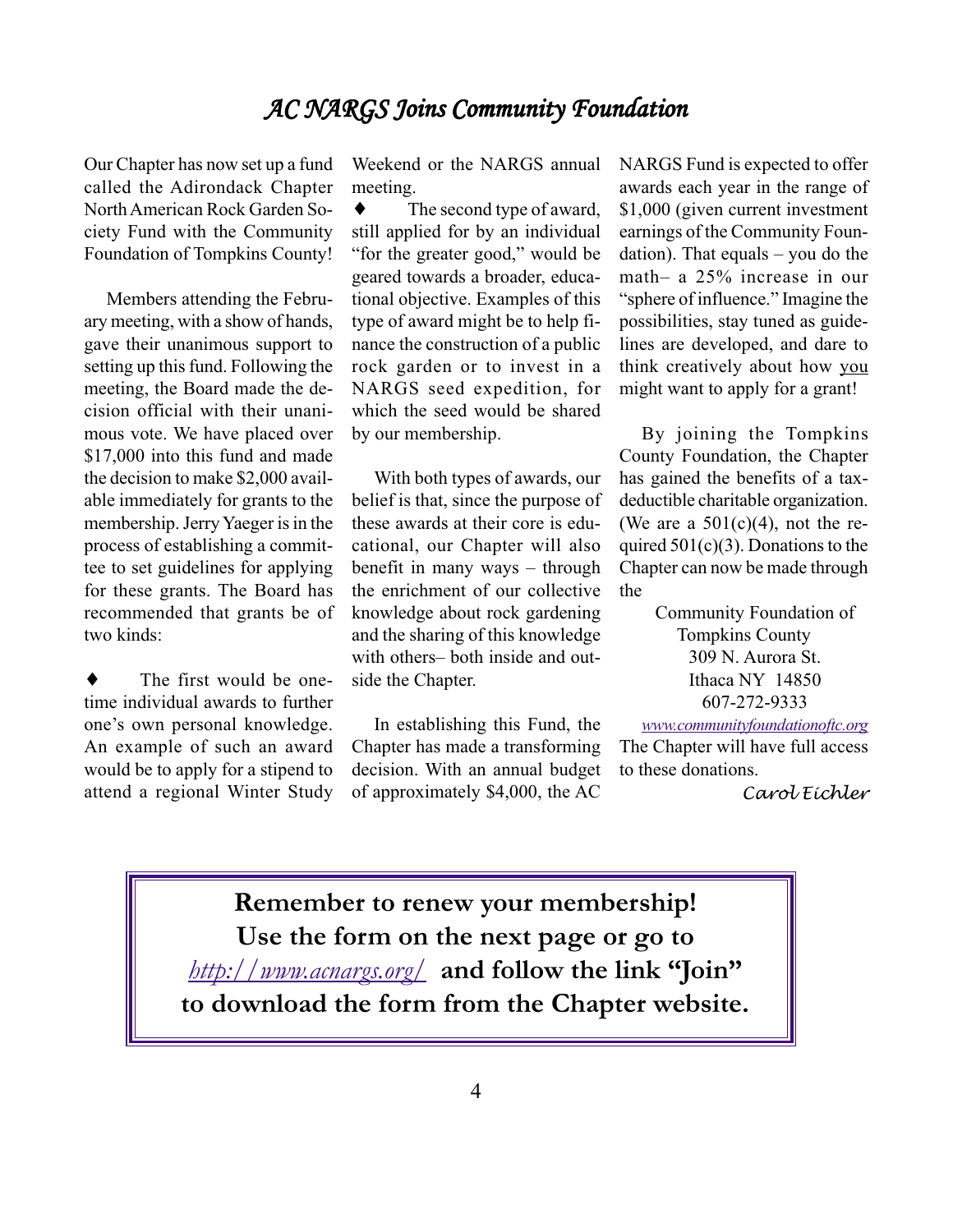## AC NARGS Joins Community Foundation

Our Chapter has now set up a fund called the Adirondack Chapter North American Rock Garden Society Fund with the Community Foundation of Tompkins County!

Members attending the February meeting, with a show of hands, gave their unanimous support to setting up this fund. Following the meeting, the Board made the decision official with their unanimous vote. We have placed over \$17,000 into this fund and made the decision to make \$2,000 available immediately for grants to the membership. Jerry Yaeger is in the process of establishing a committee to set guidelines for applying for these grants. The Board has recommended that grants be of two kinds:

The first would be onetime individual awards to further one's own personal knowledge. An example of such an award would be to apply for a stipend to attend a regional Winter Study

Weekend or the NARGS annual meeting.

 $\bullet$  The second type of award, still applied for by an individual "for the greater good," would be geared towards a broader, educational objective. Examples of this type of award might be to help finance the construction of a public rock garden or to invest in a NARGS seed expedition, for which the seed would be shared by our membership.

With both types of awards, our belief is that, since the purpose of these awards at their core is educational, our Chapter will also benefit in many ways – through the enrichment of our collective knowledge about rock gardening and the sharing of this knowledge with others– both inside and outside the Chapter.

In establishing this Fund, the Chapter has made a transforming decision. With an annual budget of approximately \$4,000, the AC NARGS Fund is expected to offer awards each year in the range of \$1,000 (given current investment earnings of the Community Foundation). That equals – you do the math– a 25% increase in our "sphere of influence." Imagine the possibilities, stay tuned as guidelines are developed, and dare to think creatively about how you might want to apply for a grant!

By joining the Tompkins County Foundation, the Chapter has gained the benefits of a taxdeductible charitable organization. (We are a  $501(c)(4)$ , not the required  $501(c)(3)$ . Donations to the Chapter can now be made through the

> Community Foundation of Tompkins County 309 N. Aurora St. Ithaca NY 14850 607-272-9333

*[www.communityfoundationoftc.org](http://www.communityfoundationoftc.org)* The Chapter will have full access to these donations.

*Carol Eichler*

**Remember to renew your membership! Use the form on the next page or go to** *[http://www.acnargs.org/](http://www.acnargs.org/ )* **and follow the link "Join" to download the form from the Chapter website.**